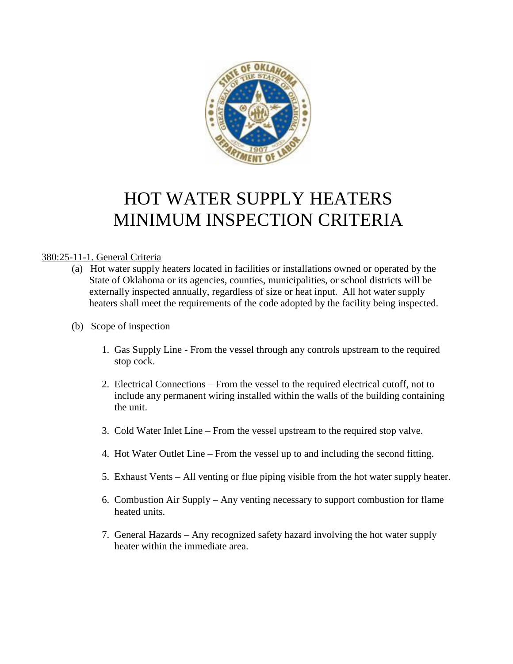

# HOT WATER SUPPLY HEATERS MINIMUM INSPECTION CRITERIA

#### 380:25-11-1. General Criteria

- (a) Hot water supply heaters located in facilities or installations owned or operated by the State of Oklahoma or its agencies, counties, municipalities, or school districts will be externally inspected annually, regardless of size or heat input. All hot water supply heaters shall meet the requirements of the code adopted by the facility being inspected.
- (b) Scope of inspection
	- 1. Gas Supply Line From the vessel through any controls upstream to the required stop cock.
	- 2. Electrical Connections From the vessel to the required electrical cutoff, not to include any permanent wiring installed within the walls of the building containing the unit.
	- 3. Cold Water Inlet Line From the vessel upstream to the required stop valve.
	- 4. Hot Water Outlet Line From the vessel up to and including the second fitting.
	- 5. Exhaust Vents All venting or flue piping visible from the hot water supply heater.
	- 6. Combustion Air Supply Any venting necessary to support combustion for flame heated units.
	- 7. General Hazards Any recognized safety hazard involving the hot water supply heater within the immediate area.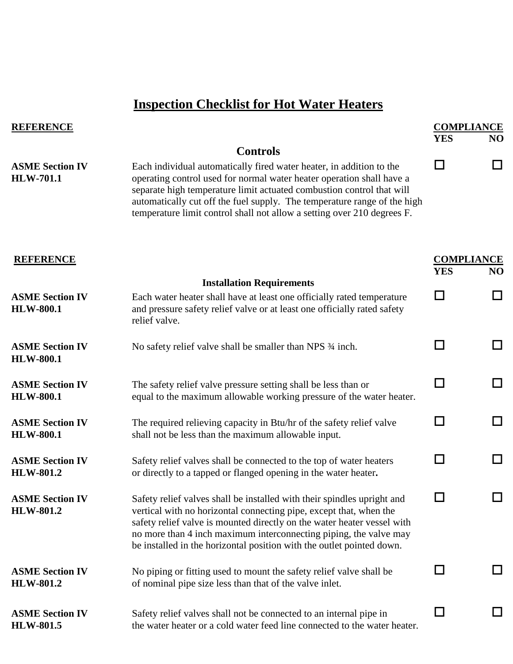## **Inspection Checklist for Hot Water Heaters**

| <b>REFERENCE</b>                           |                                                                                                                                                                                                                                                                                                                                                                               |                                 | <b>COMPLIANCE</b>           |  |
|--------------------------------------------|-------------------------------------------------------------------------------------------------------------------------------------------------------------------------------------------------------------------------------------------------------------------------------------------------------------------------------------------------------------------------------|---------------------------------|-----------------------------|--|
|                                            | <b>Controls</b>                                                                                                                                                                                                                                                                                                                                                               | <b>YES</b>                      | N <sub>O</sub>              |  |
| <b>ASME Section IV</b><br><b>HLW-701.1</b> | Each individual automatically fired water heater, in addition to the<br>operating control used for normal water heater operation shall have a<br>separate high temperature limit actuated combustion control that will<br>automatically cut off the fuel supply. The temperature range of the high<br>temperature limit control shall not allow a setting over 210 degrees F. | ΙI                              | $\Box$                      |  |
| <b>REFERENCE</b>                           |                                                                                                                                                                                                                                                                                                                                                                               | <b>COMPLIANCE</b><br><b>YES</b> | NO                          |  |
| <b>ASME Section IV</b><br><b>HLW-800.1</b> | <b>Installation Requirements</b><br>Each water heater shall have at least one officially rated temperature<br>and pressure safety relief valve or at least one officially rated safety<br>relief valve.                                                                                                                                                                       | П                               | $\mathbb{R}^n$              |  |
| <b>ASME Section IV</b><br><b>HLW-800.1</b> | No safety relief valve shall be smaller than NPS 3/4 inch.                                                                                                                                                                                                                                                                                                                    | ΙI                              | $\mathcal{L}_{\mathcal{A}}$ |  |
| <b>ASME Section IV</b><br><b>HLW-800.1</b> | The safety relief valve pressure setting shall be less than or<br>equal to the maximum allowable working pressure of the water heater.                                                                                                                                                                                                                                        | $\Box$                          | $\overline{\phantom{a}}$    |  |
| <b>ASME Section IV</b><br><b>HLW-800.1</b> | The required relieving capacity in Btu/hr of the safety relief valve<br>shall not be less than the maximum allowable input.                                                                                                                                                                                                                                                   | $\Box$                          | $\Box$                      |  |
| <b>ASME Section IV</b><br><b>HLW-801.2</b> | Safety relief valves shall be connected to the top of water heaters<br>or directly to a tapped or flanged opening in the water heater.                                                                                                                                                                                                                                        | $\mathsf{L}$                    | $\Box$                      |  |
| <b>ASME Section IV</b><br><b>HLW-801.2</b> | Safety relief valves shall be installed with their spindles upright and<br>vertical with no horizontal connecting pipe, except that, when the<br>safety relief valve is mounted directly on the water heater vessel with<br>no more than 4 inch maximum interconnecting piping, the valve may<br>be installed in the horizontal position with the outlet pointed down.        |                                 |                             |  |
| <b>ASME Section IV</b><br><b>HLW-801.2</b> | No piping or fitting used to mount the safety relief valve shall be<br>of nominal pipe size less than that of the valve inlet.                                                                                                                                                                                                                                                |                                 |                             |  |
| <b>ASME Section IV</b><br><b>HLW-801.5</b> | Safety relief valves shall not be connected to an internal pipe in<br>the water heater or a cold water feed line connected to the water heater.                                                                                                                                                                                                                               |                                 |                             |  |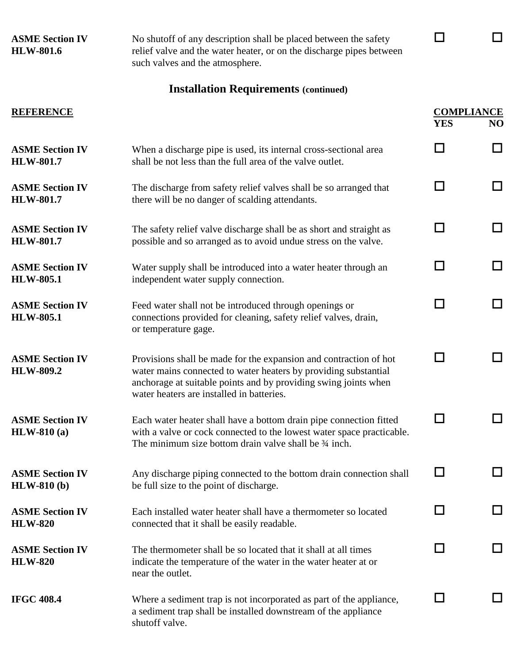| <b>ASME Section IV</b><br><b>HLW-801.6</b> | No shutoff of any description shall be placed between the safety<br>relief valve and the water heater, or on the discharge pipes between<br>such valves and the atmosphere.                                                                          |                                 |        |
|--------------------------------------------|------------------------------------------------------------------------------------------------------------------------------------------------------------------------------------------------------------------------------------------------------|---------------------------------|--------|
|                                            | <b>Installation Requirements (continued)</b>                                                                                                                                                                                                         |                                 |        |
| <b>REFERENCE</b>                           |                                                                                                                                                                                                                                                      | <b>COMPLIANCE</b><br><b>YES</b> | NO     |
| <b>ASME Section IV</b><br><b>HLW-801.7</b> | When a discharge pipe is used, its internal cross-sectional area<br>shall be not less than the full area of the valve outlet.                                                                                                                        | $\Box$                          | $\Box$ |
| <b>ASME Section IV</b><br><b>HLW-801.7</b> | The discharge from safety relief valves shall be so arranged that<br>there will be no danger of scalding attendants.                                                                                                                                 | $\mathsf{L}$                    | $\Box$ |
| <b>ASME Section IV</b><br><b>HLW-801.7</b> | The safety relief valve discharge shall be as short and straight as<br>possible and so arranged as to avoid undue stress on the valve.                                                                                                               | П                               | П      |
| <b>ASME Section IV</b><br><b>HLW-805.1</b> | Water supply shall be introduced into a water heater through an<br>independent water supply connection.                                                                                                                                              | П                               | П      |
| <b>ASME Section IV</b><br><b>HLW-805.1</b> | Feed water shall not be introduced through openings or<br>connections provided for cleaning, safety relief valves, drain,<br>or temperature gage.                                                                                                    | $\mathsf{L}$                    |        |
| <b>ASME Section IV</b><br><b>HLW-809.2</b> | Provisions shall be made for the expansion and contraction of hot<br>water mains connected to water heaters by providing substantial<br>anchorage at suitable points and by providing swing joints when<br>water heaters are installed in batteries. | - 1                             |        |
| <b>ASME Section IV</b><br>$HLW-810(a)$     | Each water heater shall have a bottom drain pipe connection fitted<br>with a valve or cock connected to the lowest water space practicable.<br>The minimum size bottom drain valve shall be $\frac{3}{4}$ inch.                                      |                                 |        |
| <b>ASME Section IV</b><br>$HLW-810(b)$     | Any discharge piping connected to the bottom drain connection shall<br>be full size to the point of discharge.                                                                                                                                       |                                 |        |
| <b>ASME Section IV</b><br><b>HLW-820</b>   | Each installed water heater shall have a thermometer so located<br>connected that it shall be easily readable.                                                                                                                                       |                                 |        |
| <b>ASME Section IV</b><br><b>HLW-820</b>   | The thermometer shall be so located that it shall at all times<br>indicate the temperature of the water in the water heater at or<br>near the outlet.                                                                                                |                                 |        |
| <b>IFGC 408.4</b>                          | Where a sediment trap is not incorporated as part of the appliance,<br>a sediment trap shall be installed downstream of the appliance<br>shutoff valve.                                                                                              |                                 |        |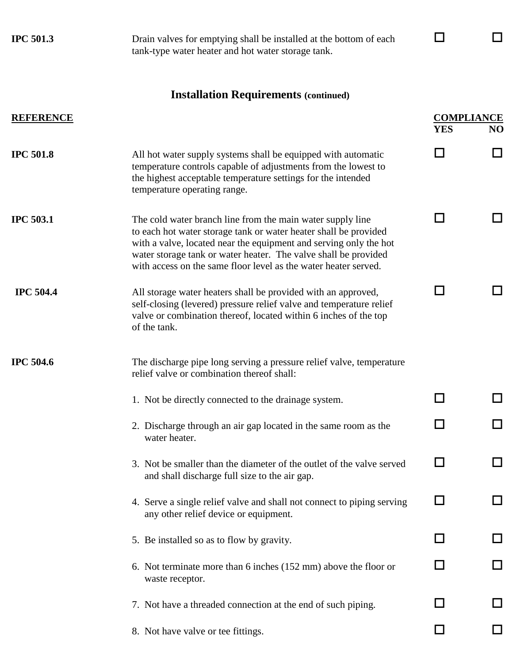| <b>IPC 501.3</b> | Drain valves for emptying shall be installed at the bottom of each<br>tank-type water heater and hot water storage tank.                                                                                                                                                                                                                  |                                 |    |
|------------------|-------------------------------------------------------------------------------------------------------------------------------------------------------------------------------------------------------------------------------------------------------------------------------------------------------------------------------------------|---------------------------------|----|
|                  | <b>Installation Requirements (continued)</b>                                                                                                                                                                                                                                                                                              |                                 |    |
| <b>REFERENCE</b> |                                                                                                                                                                                                                                                                                                                                           | <b>COMPLIANCE</b><br><b>YES</b> | NO |
| <b>IPC 501.8</b> | All hot water supply systems shall be equipped with automatic<br>temperature controls capable of adjustments from the lowest to<br>the highest acceptable temperature settings for the intended<br>temperature operating range.                                                                                                           | - 1                             |    |
| <b>IPC 503.1</b> | The cold water branch line from the main water supply line<br>to each hot water storage tank or water heater shall be provided<br>with a valve, located near the equipment and serving only the hot<br>water storage tank or water heater. The valve shall be provided<br>with access on the same floor level as the water heater served. | - 1                             |    |
| <b>IPC 504.4</b> | All storage water heaters shall be provided with an approved,<br>self-closing (levered) pressure relief valve and temperature relief<br>valve or combination thereof, located within 6 inches of the top<br>of the tank.                                                                                                                  |                                 |    |
| <b>IPC 504.6</b> | The discharge pipe long serving a pressure relief valve, temperature<br>relief valve or combination thereof shall:                                                                                                                                                                                                                        |                                 |    |
|                  | 1. Not be directly connected to the drainage system.                                                                                                                                                                                                                                                                                      |                                 |    |
|                  | 2. Discharge through an air gap located in the same room as the<br>water heater.                                                                                                                                                                                                                                                          |                                 |    |
|                  | 3. Not be smaller than the diameter of the outlet of the valve served<br>and shall discharge full size to the air gap.                                                                                                                                                                                                                    |                                 |    |
|                  | 4. Serve a single relief valve and shall not connect to piping serving<br>any other relief device or equipment.                                                                                                                                                                                                                           |                                 |    |
|                  | 5. Be installed so as to flow by gravity.                                                                                                                                                                                                                                                                                                 |                                 |    |
|                  | 6. Not terminate more than 6 inches (152 mm) above the floor or<br>waste receptor.                                                                                                                                                                                                                                                        |                                 |    |
|                  | 7. Not have a threaded connection at the end of such piping.                                                                                                                                                                                                                                                                              |                                 |    |
|                  | 8. Not have valve or tee fittings.                                                                                                                                                                                                                                                                                                        |                                 |    |